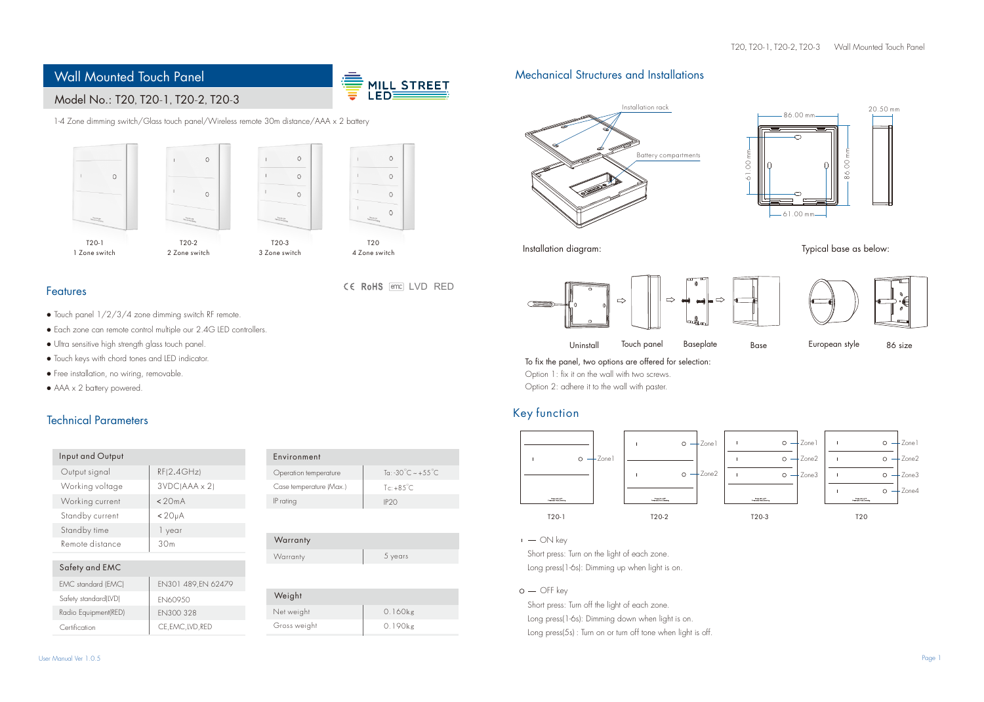

# Model No.: T20, T20-1, T20-2, T20-3

1-4 Zone dimming switch/Glass touch panel/Wireless remote 30m distance/AAA x 2 battery



# $\circ$  $\circ$  $\circ$

CE RoHS RMC LVD RED

## Features

- Touch panel 1/2/3/4 zone dimming switch RF remote.
- Each zone can remote control multiple our 2.4G LED controllers.
- Ultra sensitive high strength glass touch panel.
- Touch keys with chord tones and LED indicator.
- Free installation, no wiring, removable.
- AAA x 2 battery powered.

# Technical Parameters

| Input and Output     |                     | Environment             |         |
|----------------------|---------------------|-------------------------|---------|
| Output signal        | RF(2.4GHz)          | Operation temperature   | $Tor -$ |
| Working voltage      | 3VDC(AAA x 2)       | Case temperature (Max.) | Tc:-    |
| Working current      | < 20mA              | IP rating               | IP20    |
| Standby current      | < 20 <sub>µ</sub> A |                         |         |
| Standby time         | 1 year              |                         |         |
| Remote distance      | 30 <sub>m</sub>     | Warranty                |         |
|                      |                     | Warranty                | 5y      |
| Safety and EMC       |                     |                         |         |
| EMC standard (EMC)   | EN301 489,EN 62479  |                         |         |
| Safety standard(LVD) | FN60950             | Weight                  |         |
| Radio Equipment(RED) | EN300 328           | Net weight              | 0.1     |
| Certification        | CE.EMC.IVD.RED      | Gross weight            | 0.1     |

| Environment             |                          |
|-------------------------|--------------------------|
| Operation temperature   | To: -30°C $\sim +55$ °C. |
| Case temperature (Max.) | $Te + 8.5^{\circ}C$      |
| IP rating               | IP2O                     |
|                         |                          |

| Warranty |         |
|----------|---------|
| Warranty | 5 years |

| Weight       |         |
|--------------|---------|
| Net weight   | 0.160kg |
| Gross weight | 0.190kg |





Installation diagram:





Typical base as below:

Uninstall Touch panel Baseplate Base European style 86 size

To fix the panel, two options are offered for selection:

Option 1: fix it on the wall with two screws.

Option 2: adhere it to the wall with paster.

# Key function



 $1 - ON$  key

Short press: Turn on the light of each zone. Long press(1-6s): Dimming up when light is on.

### $\circ$   $-$  OFF key

Short press: Turn off the light of each zone. Long press(1-6s): Dimming down when light is on. Long press(5s) : Turn on or turn off tone when light is off.